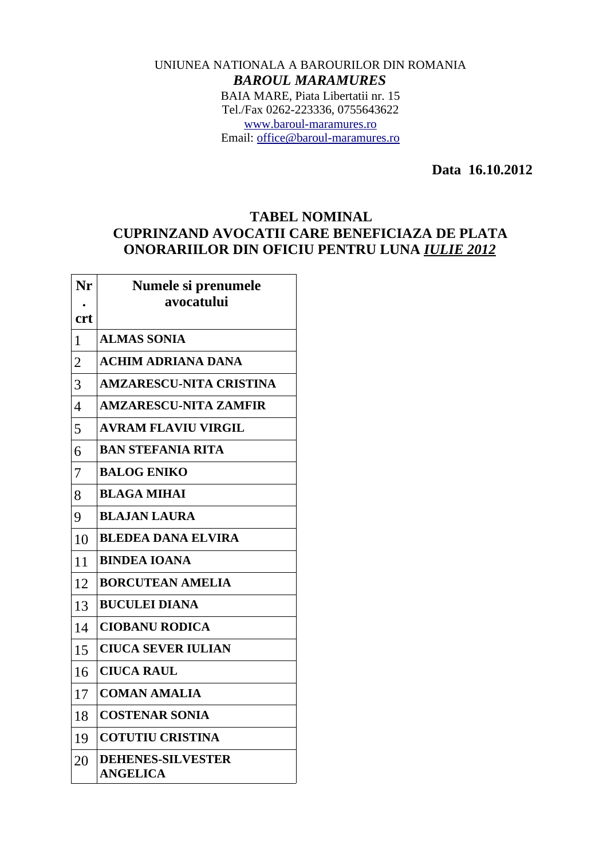## UNIUNEA NATIONALA A BAROURILOR DIN ROMANIA *BAROUL MARAMURES* BAIA MARE, Piata Libertatii nr. 15 Tel./Fax 0262-223336, 0755643622 [www.baroul-maramures.ro](http://www.baroul-maramures.ro/) Email: [office@baroul-maramures.ro](mailto:office@baroul-maramures.ro)

 **Data 16.10.2012**

## **TABEL NOMINAL CUPRINZAND AVOCATII CARE BENEFICIAZA DE PLATA ONORARIILOR DIN OFICIU PENTRU LUNA** *IULIE 2012*

| Nr             | Numele si prenumele<br>avocatului           |
|----------------|---------------------------------------------|
| <b>crt</b>     |                                             |
| 1              | <b>ALMAS SONIA</b>                          |
| $\overline{2}$ | <b>ACHIM ADRIANA DANA</b>                   |
| 3              | <b>AMZARESCU-NITA CRISTINA</b>              |
| $\overline{4}$ | <b>AMZARESCU-NITA ZAMFIR</b>                |
| 5              | <b>AVRAM FLAVIU VIRGIL</b>                  |
| 6              | <b>BAN STEFANIA RITA</b>                    |
| 7              | <b>BALOG ENIKO</b>                          |
| 8              | <b>BLAGA MIHAI</b>                          |
| 9              | <b>BLAJAN LAURA</b>                         |
| 10             | <b>BLEDEA DANA ELVIRA</b>                   |
| 11             | <b>BINDEA IOANA</b>                         |
| 12             | <b>BORCUTEAN AMELIA</b>                     |
| 13             | <b>BUCULEI DIANA</b>                        |
| 14             | <b>CIOBANU RODICA</b>                       |
| 15             | <b>CIUCA SEVER IULIAN</b>                   |
| 16             | <b>CIUCA RAUL</b>                           |
| 17             | <b>COMAN AMALIA</b>                         |
| 18             | <b>COSTENAR SONIA</b>                       |
| 19             | <b>COTUTIU CRISTINA</b>                     |
| 20             | <b>DEHENES-SILVESTER</b><br><b>ANGELICA</b> |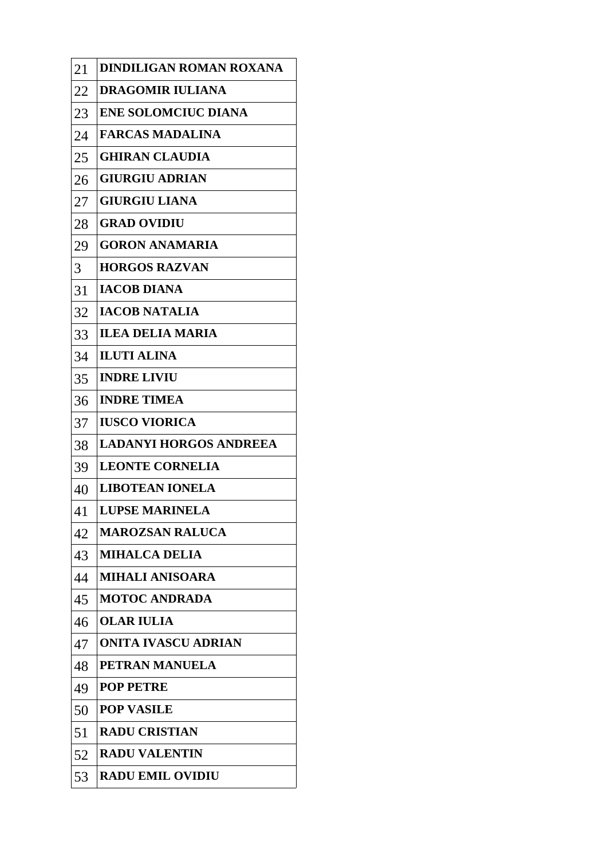| 21 | DINDILIGAN ROMAN ROXANA       |
|----|-------------------------------|
| 22 | <b>DRAGOMIR IULIANA</b>       |
| 23 | <b>ENE SOLOMCIUC DIANA</b>    |
| 24 | <b>FARCAS MADALINA</b>        |
| 25 | <b>GHIRAN CLAUDIA</b>         |
| 26 | <b>GIURGIU ADRIAN</b>         |
| 27 | <b>GIURGIU LIANA</b>          |
| 28 | <b>GRAD OVIDIU</b>            |
| 29 | <b>GORON ANAMARIA</b>         |
| 3  | <b>HORGOS RAZVAN</b>          |
| 31 | <b>IACOB DIANA</b>            |
| 32 | <b>IACOB NATALIA</b>          |
| 33 | <b>ILEA DELIA MARIA</b>       |
| 34 | <b>ILUTI ALINA</b>            |
| 35 | <b>INDRE LIVIU</b>            |
| 36 | <b>INDRE TIMEA</b>            |
| 37 | <b>IUSCO VIORICA</b>          |
| 38 | <b>LADANYI HORGOS ANDREEA</b> |
| 39 | <b>LEONTE CORNELIA</b>        |
| 40 | <b>LIBOTEAN IONELA</b>        |
| 41 | <b>LUPSE MARINELA</b>         |
| 42 | <b>MAROZSAN RALUCA</b>        |
| 43 | <b>MIHALCA DELIA</b>          |
| 44 | MIHALI ANISOARA               |
| 45 | <b>MOTOC ANDRADA</b>          |
| 46 | <b>OLAR IULIA</b>             |
| 47 | <b>ONITA IVASCU ADRIAN</b>    |
| 48 | PETRAN MANUELA                |
| 49 | <b>POP PETRE</b>              |
| 50 | <b>POP VASILE</b>             |
| 51 | <b>RADU CRISTIAN</b>          |
| 52 | <b>RADU VALENTIN</b>          |
| 53 | <b>RADU EMIL OVIDIU</b>       |